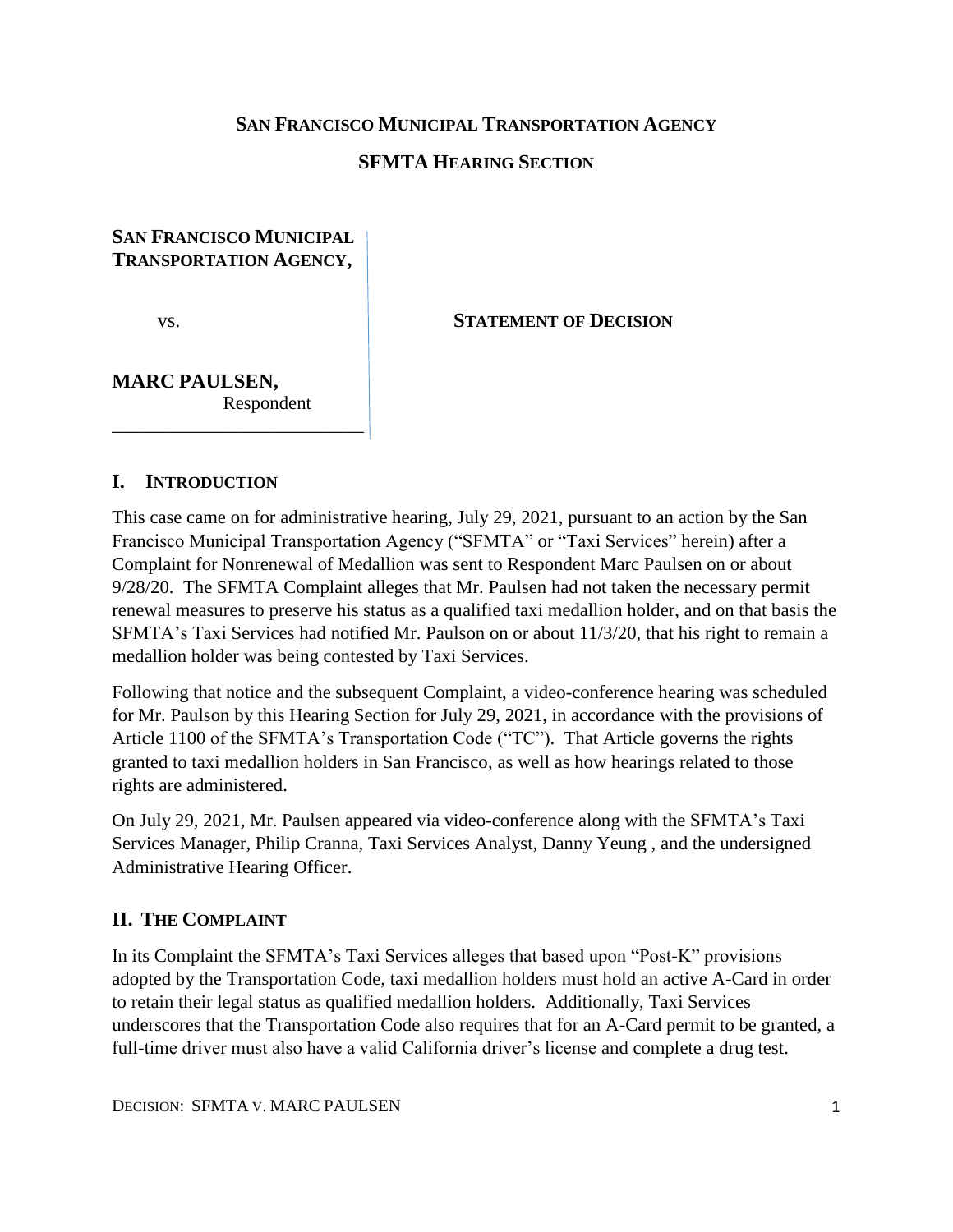### **SAN FRANCISCO MUNICIPAL TRANSPORTATION AGENCY**

## **SFMTA HEARING SECTION**

## **SAN FRANCISCO MUNICIPAL TRANSPORTATION AGENCY,**

vs. **STATEMENT OF DECISION**

## **MARC PAULSEN,** Respondent \_\_\_\_\_\_\_\_\_\_\_\_\_\_\_\_\_\_\_\_\_\_\_\_\_\_\_

### **I. INTRODUCTION**

This case came on for administrative hearing, July 29, 2021, pursuant to an action by the San Francisco Municipal Transportation Agency ("SFMTA" or "Taxi Services" herein) after a Complaint for Nonrenewal of Medallion was sent to Respondent Marc Paulsen on or about 9/28/20. The SFMTA Complaint alleges that Mr. Paulsen had not taken the necessary permit renewal measures to preserve his status as a qualified taxi medallion holder, and on that basis the SFMTA's Taxi Services had notified Mr. Paulson on or about 11/3/20, that his right to remain a medallion holder was being contested by Taxi Services.

Following that notice and the subsequent Complaint, a video-conference hearing was scheduled for Mr. Paulson by this Hearing Section for July 29, 2021, in accordance with the provisions of Article 1100 of the SFMTA's Transportation Code ("TC"). That Article governs the rights granted to taxi medallion holders in San Francisco, as well as how hearings related to those rights are administered.

On July 29, 2021, Mr. Paulsen appeared via video-conference along with the SFMTA's Taxi Services Manager, Philip Cranna, Taxi Services Analyst, Danny Yeung , and the undersigned Administrative Hearing Officer.

## **II. THE COMPLAINT**

In its Complaint the SFMTA's Taxi Services alleges that based upon "Post-K" provisions adopted by the Transportation Code, taxi medallion holders must hold an active A-Card in order to retain their legal status as qualified medallion holders. Additionally, Taxi Services underscores that the Transportation Code also requires that for an A-Card permit to be granted, a full-time driver must also have a valid California driver's license and complete a drug test.

DECISION: SFMTA V. MARC PAULSEN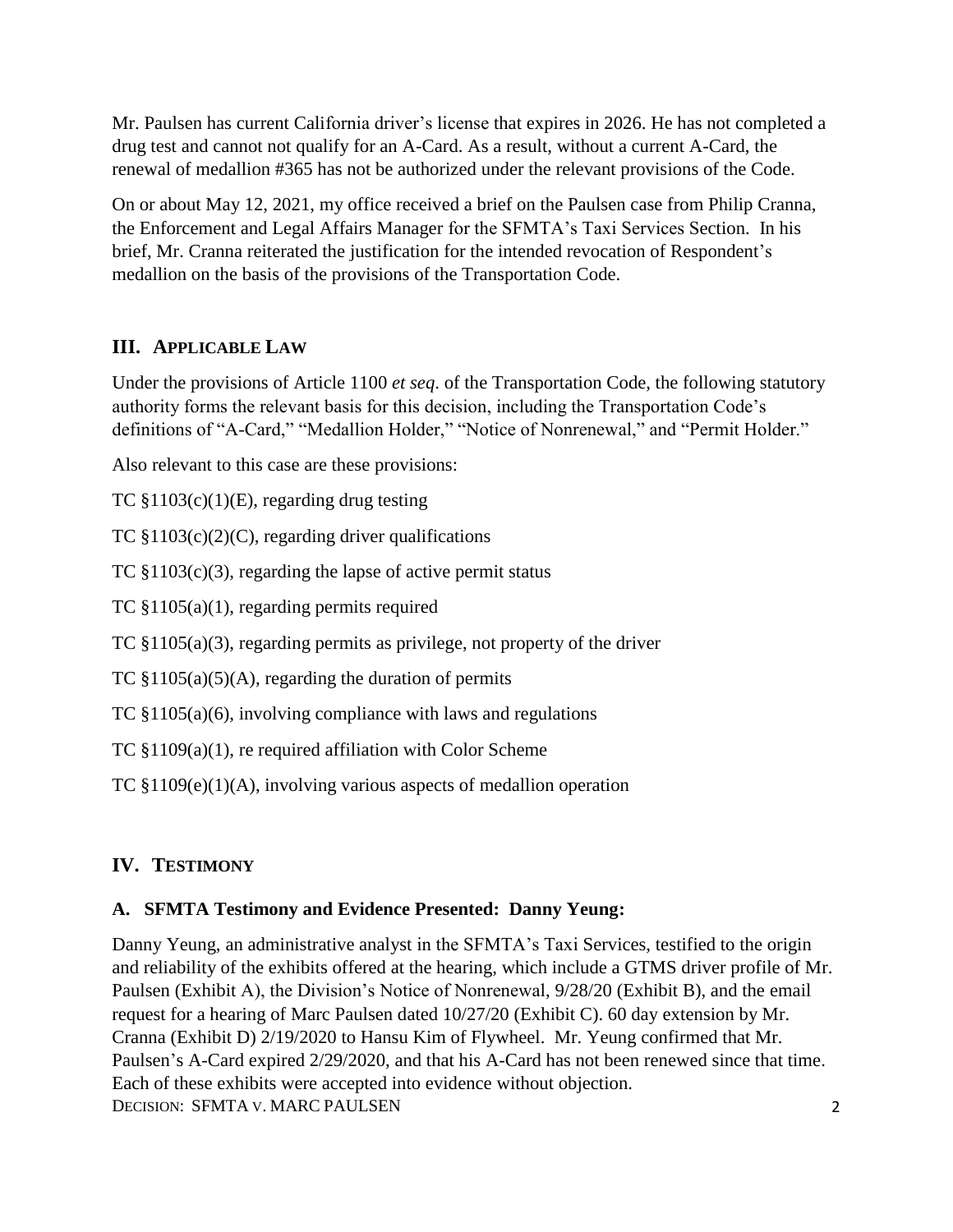Mr. Paulsen has current California driver's license that expires in 2026. He has not completed a drug test and cannot not qualify for an A-Card. As a result, without a current A-Card, the renewal of medallion #365 has not be authorized under the relevant provisions of the Code.

On or about May 12, 2021, my office received a brief on the Paulsen case from Philip Cranna, the Enforcement and Legal Affairs Manager for the SFMTA's Taxi Services Section. In his brief, Mr. Cranna reiterated the justification for the intended revocation of Respondent's medallion on the basis of the provisions of the Transportation Code.

# **III. APPLICABLE LAW**

Under the provisions of Article 1100 *et seq*. of the Transportation Code, the following statutory authority forms the relevant basis for this decision, including the Transportation Code's definitions of "A-Card," "Medallion Holder," "Notice of Nonrenewal," and "Permit Holder."

Also relevant to this case are these provisions:

TC §1103(c)(1)(E), regarding drug testing

TC  $$1103(c)(2)(C)$ , regarding driver qualifications

TC  $$1103(c)(3)$ , regarding the lapse of active permit status

TC §1105(a)(1), regarding permits required

TC §1105(a)(3), regarding permits as privilege, not property of the driver

TC  $$1105(a)(5)(A)$ , regarding the duration of permits

TC §1105(a)(6), involving compliance with laws and regulations

TC §1109(a)(1), re required affiliation with Color Scheme

TC §1109(e)(1)(A), involving various aspects of medallion operation

# **IV. TESTIMONY**

## **A. SFMTA Testimony and Evidence Presented: Danny Yeung:**

DECISION: SFMTA V. MARC PAULSEN Danny Yeung, an administrative analyst in the SFMTA's Taxi Services, testified to the origin and reliability of the exhibits offered at the hearing, which include a GTMS driver profile of Mr. Paulsen (Exhibit A), the Division's Notice of Nonrenewal, 9/28/20 (Exhibit B), and the email request for a hearing of Marc Paulsen dated 10/27/20 (Exhibit C). 60 day extension by Mr. Cranna (Exhibit D) 2/19/2020 to Hansu Kim of Flywheel. Mr. Yeung confirmed that Mr. Paulsen's A-Card expired 2/29/2020, and that his A-Card has not been renewed since that time. Each of these exhibits were accepted into evidence without objection.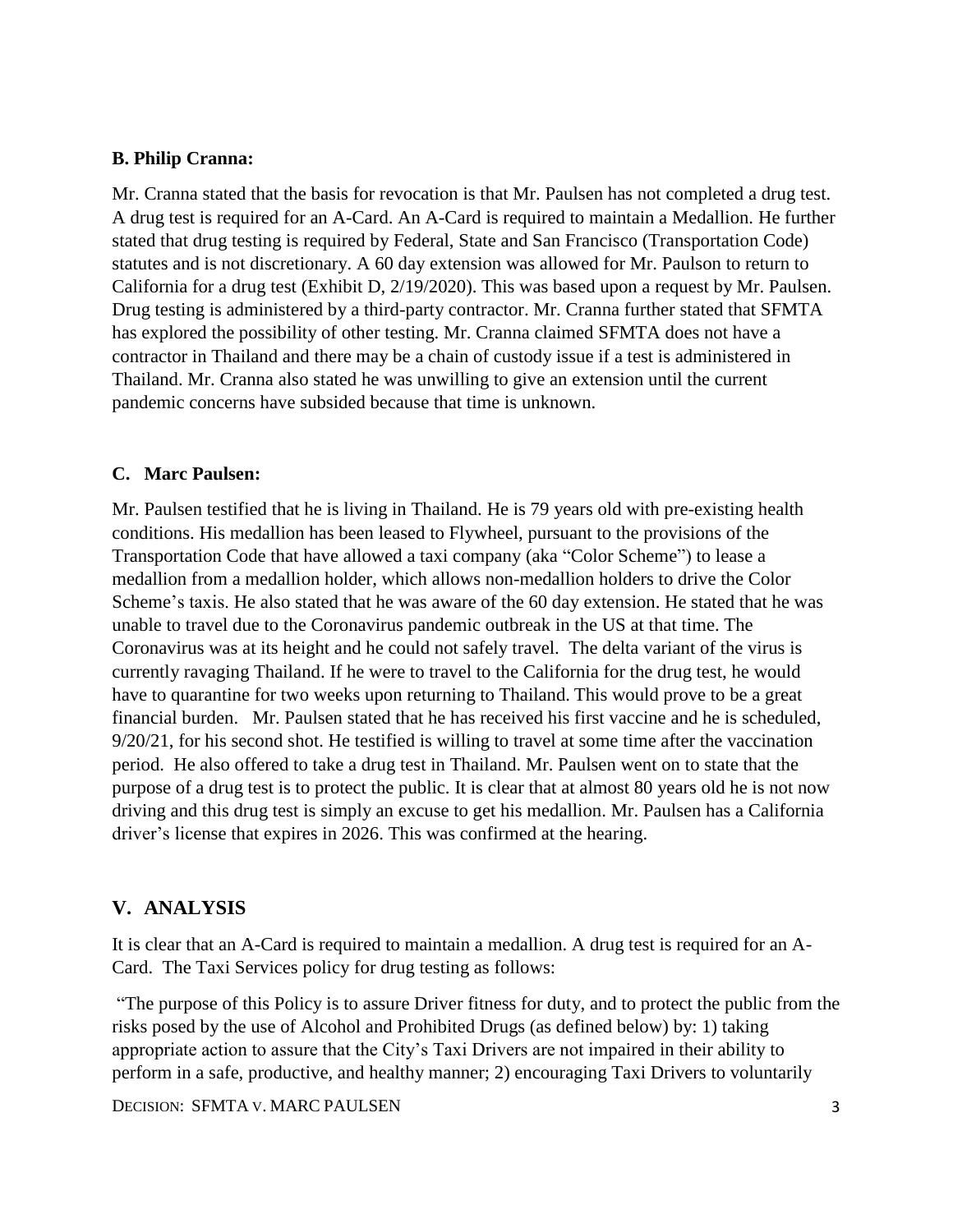### **B. Philip Cranna:**

Mr. Cranna stated that the basis for revocation is that Mr. Paulsen has not completed a drug test. A drug test is required for an A-Card. An A-Card is required to maintain a Medallion. He further stated that drug testing is required by Federal, State and San Francisco (Transportation Code) statutes and is not discretionary. A 60 day extension was allowed for Mr. Paulson to return to California for a drug test (Exhibit D, 2/19/2020). This was based upon a request by Mr. Paulsen. Drug testing is administered by a third-party contractor. Mr. Cranna further stated that SFMTA has explored the possibility of other testing. Mr. Cranna claimed SFMTA does not have a contractor in Thailand and there may be a chain of custody issue if a test is administered in Thailand. Mr. Cranna also stated he was unwilling to give an extension until the current pandemic concerns have subsided because that time is unknown.

### **C. Marc Paulsen:**

Mr. Paulsen testified that he is living in Thailand. He is 79 years old with pre-existing health conditions. His medallion has been leased to Flywheel, pursuant to the provisions of the Transportation Code that have allowed a taxi company (aka "Color Scheme") to lease a medallion from a medallion holder, which allows non-medallion holders to drive the Color Scheme's taxis. He also stated that he was aware of the 60 day extension. He stated that he was unable to travel due to the Coronavirus pandemic outbreak in the US at that time. The Coronavirus was at its height and he could not safely travel. The delta variant of the virus is currently ravaging Thailand. If he were to travel to the California for the drug test, he would have to quarantine for two weeks upon returning to Thailand. This would prove to be a great financial burden. Mr. Paulsen stated that he has received his first vaccine and he is scheduled, 9/20/21, for his second shot. He testified is willing to travel at some time after the vaccination period. He also offered to take a drug test in Thailand. Mr. Paulsen went on to state that the purpose of a drug test is to protect the public. It is clear that at almost 80 years old he is not now driving and this drug test is simply an excuse to get his medallion. Mr. Paulsen has a California driver's license that expires in 2026. This was confirmed at the hearing.

## **V. ANALYSIS**

It is clear that an A-Card is required to maintain a medallion. A drug test is required for an A-Card. The Taxi Services policy for drug testing as follows:

"The purpose of this Policy is to assure Driver fitness for duty, and to protect the public from the risks posed by the use of Alcohol and Prohibited Drugs (as defined below) by: 1) taking appropriate action to assure that the City's Taxi Drivers are not impaired in their ability to perform in a safe, productive, and healthy manner; 2) encouraging Taxi Drivers to voluntarily

DECISION: SFMTA V. MARC PAULSEN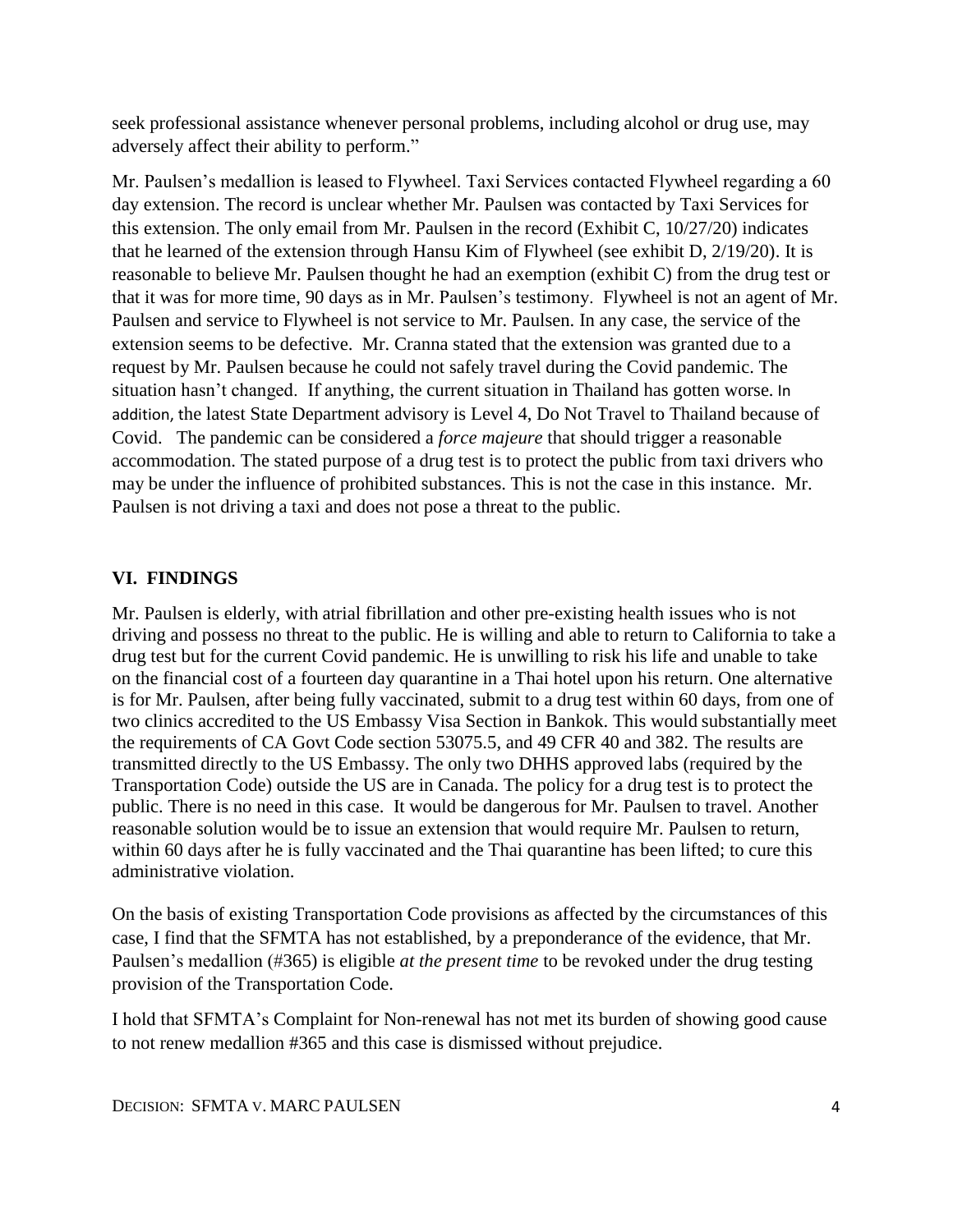seek professional assistance whenever personal problems, including alcohol or drug use, may adversely affect their ability to perform."

Mr. Paulsen's medallion is leased to Flywheel. Taxi Services contacted Flywheel regarding a 60 day extension. The record is unclear whether Mr. Paulsen was contacted by Taxi Services for this extension. The only email from Mr. Paulsen in the record (Exhibit C, 10/27/20) indicates that he learned of the extension through Hansu Kim of Flywheel (see exhibit D, 2/19/20). It is reasonable to believe Mr. Paulsen thought he had an exemption (exhibit C) from the drug test or that it was for more time, 90 days as in Mr. Paulsen's testimony. Flywheel is not an agent of Mr. Paulsen and service to Flywheel is not service to Mr. Paulsen. In any case, the service of the extension seems to be defective. Mr. Cranna stated that the extension was granted due to a request by Mr. Paulsen because he could not safely travel during the Covid pandemic. The situation hasn't changed. If anything, the current situation in Thailand has gotten worse. In addition, the latest State Department advisory is Level 4, Do Not Travel to Thailand because of Covid. The pandemic can be considered a *force majeure* that should trigger a reasonable accommodation. The stated purpose of a drug test is to protect the public from taxi drivers who may be under the influence of prohibited substances. This is not the case in this instance. Mr. Paulsen is not driving a taxi and does not pose a threat to the public.

## **VI. FINDINGS**

Mr. Paulsen is elderly, with atrial fibrillation and other pre-existing health issues who is not driving and possess no threat to the public. He is willing and able to return to California to take a drug test but for the current Covid pandemic. He is unwilling to risk his life and unable to take on the financial cost of a fourteen day quarantine in a Thai hotel upon his return. One alternative is for Mr. Paulsen, after being fully vaccinated, submit to a drug test within 60 days, from one of two clinics accredited to the US Embassy Visa Section in Bankok. This would substantially meet the requirements of CA Govt Code section 53075.5, and 49 CFR 40 and 382. The results are transmitted directly to the US Embassy. The only two DHHS approved labs (required by the Transportation Code) outside the US are in Canada. The policy for a drug test is to protect the public. There is no need in this case. It would be dangerous for Mr. Paulsen to travel. Another reasonable solution would be to issue an extension that would require Mr. Paulsen to return, within 60 days after he is fully vaccinated and the Thai quarantine has been lifted; to cure this administrative violation.

On the basis of existing Transportation Code provisions as affected by the circumstances of this case, I find that the SFMTA has not established, by a preponderance of the evidence, that Mr. Paulsen's medallion (#365) is eligible *at the present time* to be revoked under the drug testing provision of the Transportation Code.

I hold that SFMTA's Complaint for Non-renewal has not met its burden of showing good cause to not renew medallion #365 and this case is dismissed without prejudice.